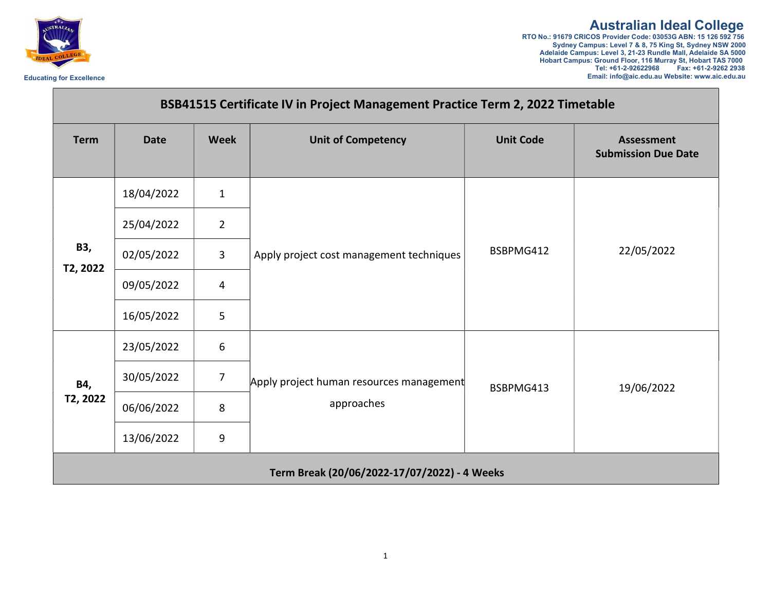

## Australian Ideal College RTO No.: 91679 CRICOS Provider Code: 03053G ABN: 15 126 592 756

Sydney Campus: Level 7 & 8, 75 King St, Sydney NSW 2000 Adelaide Campus: Level 3, 21-23 Rundle Mall, Adelaide SA 5000 Hobart Campus: Ground Floor, 116 Murray St, Hobart TAS 7000 Tel: +61-2-92622968 Fax: +61-2-9262 2938 Educating for Excellence **Excellence** Excellence Excellence Email: info@aic.edu.au Website: www.aic.edu.au Website: www.aic.edu.au

| BSB41515 Certificate IV in Project Management Practice Term 2, 2022 Timetable |             |                |                                                        |                  |                                                 |  |  |  |
|-------------------------------------------------------------------------------|-------------|----------------|--------------------------------------------------------|------------------|-------------------------------------------------|--|--|--|
| <b>Term</b>                                                                   | <b>Date</b> | <b>Week</b>    | <b>Unit of Competency</b>                              | <b>Unit Code</b> | <b>Assessment</b><br><b>Submission Due Date</b> |  |  |  |
| B3,<br>T2, 2022                                                               | 18/04/2022  | $\mathbf{1}$   | Apply project cost management techniques               | BSBPMG412        | 22/05/2022                                      |  |  |  |
|                                                                               | 25/04/2022  | $\overline{2}$ |                                                        |                  |                                                 |  |  |  |
|                                                                               | 02/05/2022  | $\mathbf{3}$   |                                                        |                  |                                                 |  |  |  |
|                                                                               | 09/05/2022  | $\overline{4}$ |                                                        |                  |                                                 |  |  |  |
|                                                                               | 16/05/2022  | 5              |                                                        |                  |                                                 |  |  |  |
| B4,<br>T2, 2022                                                               | 23/05/2022  | 6              | Apply project human resources management<br>approaches | BSBPMG413        | 19/06/2022                                      |  |  |  |
|                                                                               | 30/05/2022  | $\overline{7}$ |                                                        |                  |                                                 |  |  |  |
|                                                                               | 06/06/2022  | 8              |                                                        |                  |                                                 |  |  |  |
|                                                                               | 13/06/2022  | 9              |                                                        |                  |                                                 |  |  |  |
|                                                                               |             |                | Term Break (20/06/2022-17/07/2022) - 4 Weeks           |                  |                                                 |  |  |  |